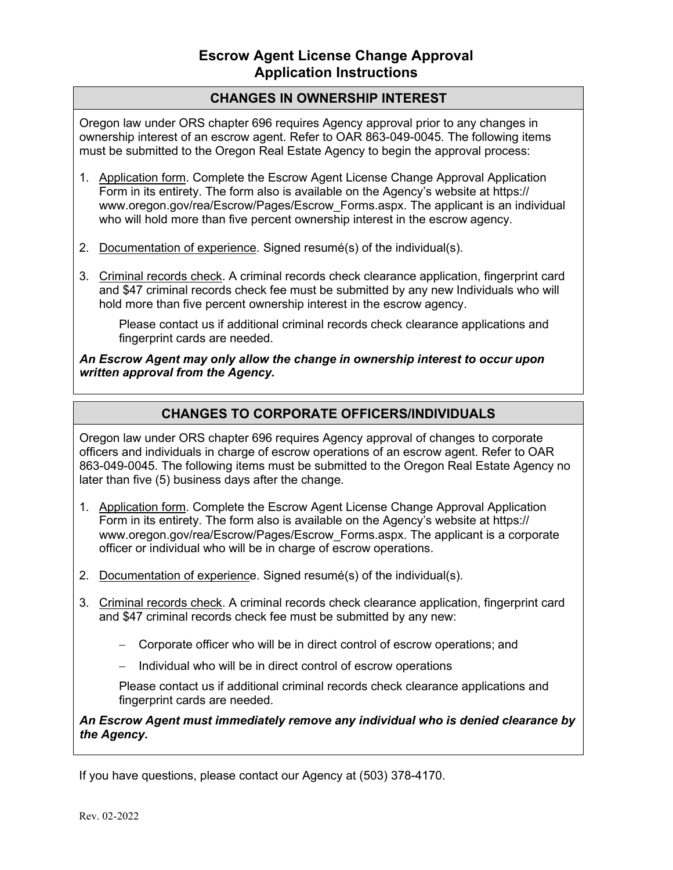## **CHANGES IN OWNERSHIP INTEREST**

Oregon law under ORS chapter 696 requires Agency approval prior to any changes in ownership interest of an escrow agent. Refer to OAR 863-049-0045. The following items must be submitted to the Oregon Real Estate Agency to begin the approval process:

- 1. Application form. Complete the Escrow Agent License Change Approval Application Form in its entirety. The form also is available on the Agency's website at [https://](https://www.oregon.gov/rea/Escrow/Pages/Escrow_Forms.aspx) [www.oregon.gov/rea/Escrow/Pages/Escrow\\_Forms.aspx.](https://www.oregon.gov/rea/Escrow/Pages/Escrow_Forms.aspx) The applicant is an individual who will hold more than five percent ownership interest in the escrow agency.
- 2. Documentation of experience. Signed resumé(s) of the individual(s).
- 3. Criminal records check. A criminal records check clearance application, fingerprint card and \$47 criminal records check fee must be submitted by any new Individuals who will hold more than five percent ownership interest in the escrow agency.

Please contact us if additional criminal records check clearance applications and fingerprint cards are needed.

*An Escrow Agent may only allow the change in ownership interest to occur upon written approval from the Agency.*

## **CHANGES TO CORPORATE OFFICERS/INDIVIDUALS**

Oregon law under ORS chapter 696 requires Agency approval of changes to corporate officers and individuals in charge of escrow operations of an escrow agent. Refer to OAR 863-049-0045. The following items must be submitted to the Oregon Real Estate Agency no later than five (5) business days after the change.

- 1. Application form. Complete the Escrow Agent License Change Approval Application Form in its entirety. The form also is available on the Agency's website at [https://](https://www.oregon.gov/rea/Escrow/Pages/Escrow_Forms.aspx) [www.oregon.gov/rea/Escrow/Pages/Escrow\\_Forms.aspx.](https://www.oregon.gov/rea/Escrow/Pages/Escrow_Forms.aspx) The applicant is a corporate officer or individual who will be in charge of escrow operations.
- 2. Documentation of experience. Signed resumé(s) of the individual(s).
- 3. Criminal records check. A criminal records check clearance application, fingerprint card and \$47 criminal records check fee must be submitted by any new:
	- − Corporate officer who will be in direct control of escrow operations; and
	- − Individual who will be in direct control of escrow operations

Please contact us if additional criminal records check clearance applications and fingerprint cards are needed.

*An Escrow Agent must immediately remove any individual who is denied clearance by the Agency.*

If you have questions, please contact our Agency at (503) 378-4170.